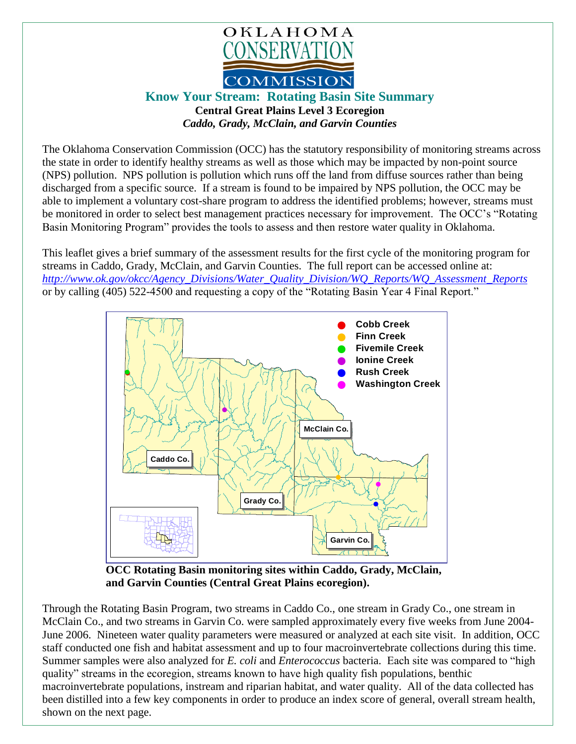

**Know Your Stream:****Rotating Basin Site Summary**

**Central Great Plains Level 3 Ecoregion**  *Caddo, Grady, McClain, and Garvin Counties*

The Oklahoma Conservation Commission (OCC) has the statutory responsibility of monitoring streams across the state in order to identify healthy streams as well as those which may be impacted by non-point source (NPS) pollution. NPS pollution is pollution which runs off the land from diffuse sources rather than being discharged from a specific source. If a stream is found to be impaired by NPS pollution, the OCC may be able to implement a voluntary cost-share program to address the identified problems; however, streams must be monitored in order to select best management practices necessary for improvement. The OCC's "Rotating Basin Monitoring Program" provides the tools to assess and then restore water quality in Oklahoma.

This leaflet gives a brief summary of the assessment results for the first cycle of the monitoring program for streams in Caddo, Grady, McClain, and Garvin Counties. The full report can be accessed online at: *[http://www.ok.gov/okcc/Agency\\_Divisions/Water\\_Quality\\_Division/WQ\\_Reports/WQ\\_Assessment\\_Reports](http://www.ok.gov/okcc/Agency_Divisions/Water_Quality_Division/WQ_Reports/WQ_Assessment_Reports)* or by calling (405) 522-4500 and requesting a copy of the "Rotating Basin Year 4 Final Report."



**OCC Rotating Basin monitoring sites within Caddo, Grady, McClain, and Garvin Counties (Central Great Plains ecoregion).**

Through the Rotating Basin Program, two streams in Caddo Co., one stream in Grady Co., one stream in McClain Co., and two streams in Garvin Co. were sampled approximately every five weeks from June 2004- June 2006. Nineteen water quality parameters were measured or analyzed at each site visit. In addition, OCC staff conducted one fish and habitat assessment and up to four macroinvertebrate collections during this time. Summer samples were also analyzed for *E. coli* and *Enterococcus* bacteria. Each site was compared to "high quality" streams in the ecoregion, streams known to have high quality fish populations, benthic macroinvertebrate populations, instream and riparian habitat, and water quality. All of the data collected has been distilled into a few key components in order to produce an index score of general, overall stream health, shown on the next page.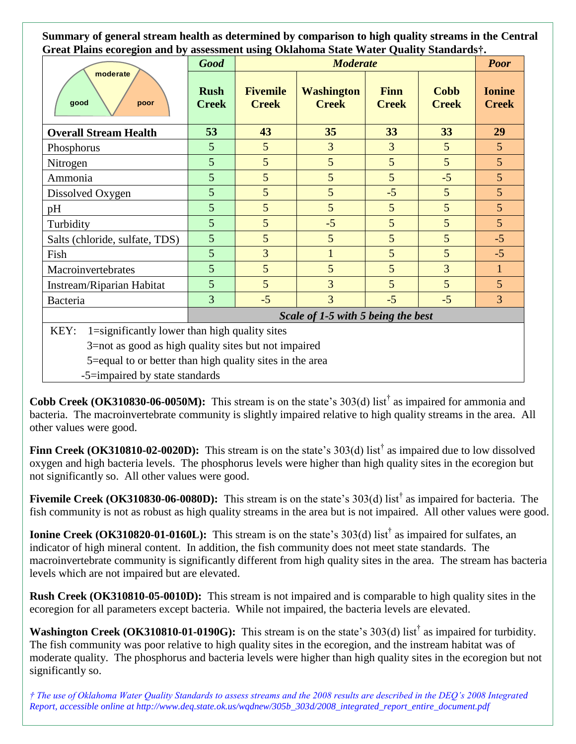**Summary of general stream health as determined by comparison to high quality streams in the Central Great Plains ecoregion and by assessment using Oklahoma State Water Quality Standards†.**

| moderate<br>good<br>poor                                 | <b>Good</b>                        | <b>Moderate</b>                 |                                   |                             |                             | <b>Poor</b>                   |
|----------------------------------------------------------|------------------------------------|---------------------------------|-----------------------------------|-----------------------------|-----------------------------|-------------------------------|
|                                                          | <b>Rush</b><br><b>Creek</b>        | <b>Fivemile</b><br><b>Creek</b> | <b>Washington</b><br><b>Creek</b> | <b>Finn</b><br><b>Creek</b> | <b>Cobb</b><br><b>Creek</b> | <b>Ionine</b><br><b>Creek</b> |
| <b>Overall Stream Health</b>                             | 53                                 | 43                              | 35                                | 33                          | 33                          | 29                            |
| Phosphorus                                               | 5                                  | 5                               | $\overline{3}$                    | 3                           | 5                           | $5\overline{)}$               |
| Nitrogen                                                 | 5                                  | 5                               | 5                                 | 5                           | 5                           | $5\overline{)}$               |
| Ammonia                                                  | 5                                  | 5                               | 5                                 | 5                           | $-5$                        | 5                             |
| Dissolved Oxygen                                         | 5                                  | 5                               | 5                                 | $-5$                        | 5                           | 5                             |
| pH                                                       | 5                                  | 5                               | 5                                 | 5                           | 5                           | $5\overline{)}$               |
| Turbidity                                                | 5                                  | 5                               | $-5$                              | 5                           | 5                           | $\overline{5}$                |
| Salts (chloride, sulfate, TDS)                           | 5                                  | 5                               | 5                                 | 5                           | 5                           | $-5$                          |
| Fish                                                     | 5                                  | 3                               | 1                                 | 5                           | 5                           | $-5$                          |
| Macroinvertebrates                                       | 5                                  | 5                               | 5                                 | 5                           | 3                           | $\mathbf{1}$                  |
| Instream/Riparian Habitat                                | 5                                  | 5                               | 3                                 | 5                           | 5                           | 5                             |
| Bacteria                                                 | 3                                  | $-5$                            | 3                                 | $-5$                        | $-5$                        | $\overline{3}$                |
|                                                          | Scale of 1-5 with 5 being the best |                                 |                                   |                             |                             |                               |
| 1=significantly lower than high quality sites<br>KEY:    |                                    |                                 |                                   |                             |                             |                               |
| 3=not as good as high quality sites but not impaired     |                                    |                                 |                                   |                             |                             |                               |
| 5=equal to or better than high quality sites in the area |                                    |                                 |                                   |                             |                             |                               |

-5=impaired by state standards

**Cobb Creek** (OK310830-06-0050M): This stream is on the state's  $303(d)$  list<sup>†</sup> as impaired for ammonia and bacteria. The macroinvertebrate community is slightly impaired relative to high quality streams in the area. All other values were good.

**Finn Creek** (OK310810-02-0020D): This stream is on the state's 303(d) list<sup>†</sup> as impaired due to low dissolved oxygen and high bacteria levels. The phosphorus levels were higher than high quality sites in the ecoregion but not significantly so. All other values were good.

**Fivemile Creek (OK310830-06-0080D):** This stream is on the state's 303(d) list<sup>†</sup> as impaired for bacteria. The fish community is not as robust as high quality streams in the area but is not impaired. All other values were good.

**Ionine Creek (OK310820-01-0160L):** This stream is on the state's 303(d) list<sup>†</sup> as impaired for sulfates, an indicator of high mineral content. In addition, the fish community does not meet state standards. The macroinvertebrate community is significantly different from high quality sites in the area. The stream has bacteria levels which are not impaired but are elevated.

**Rush Creek (OK310810-05-0010D):** This stream is not impaired and is comparable to high quality sites in the ecoregion for all parameters except bacteria. While not impaired, the bacteria levels are elevated.

**Washington Creek (OK310810-01-0190G):** This stream is on the state's 303(d) list<sup>†</sup> as impaired for turbidity. The fish community was poor relative to high quality sites in the ecoregion, and the instream habitat was of moderate quality. The phosphorus and bacteria levels were higher than high quality sites in the ecoregion but not significantly so.

*† The use of Oklahoma Water Quality Standards to assess streams and the 2008 results are described in the DEQ's 2008 Integrated Report, accessible online at http://www.deq.state.ok.us/wqdnew/305b\_303d/2008\_integrated\_report\_entire\_document.pdf*